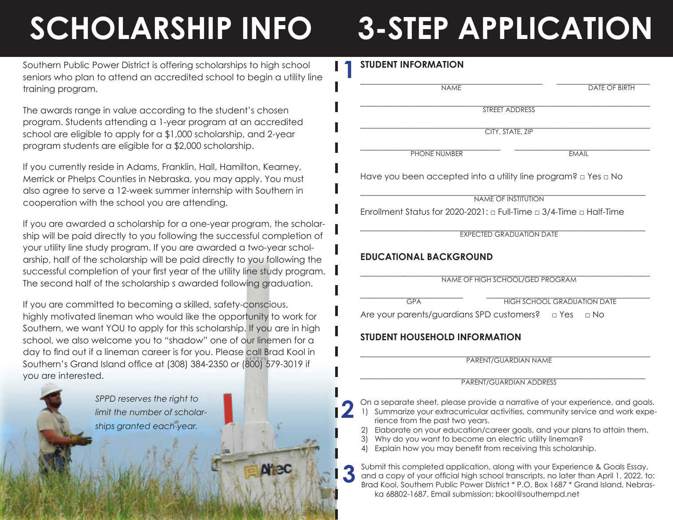# **SCHOLARSHIP INFO 3-STEP APPLICATION**

Southern Public Power District is offering scholarships to high school seniors who plan to attend an accredited school to begin a utility line training program.

The awards range in value according to the student's chosen program. Students attending a 1-year program at an accredited school are eligible to apply for a \$1,000 scholarship, and 2-year program students are eligible for a \$2,000 scholarship.

If you currently reside in Adams, Franklin, Hall, Hamilton, Kearney, Merrick or Phelps Counties in Nebraska, you may apply. You must also agree to serve a 12-week summer internship with Southern in cooperation with the school you are attending.

If you are awarded a scholarship for a one-year program, the scholarship will be paid directly to you following the successful completion of your utility line study program. If you are awarded a two-year scholarship, half of the scholarship will be paid directly to you following the successful completion of your first year of the utility line study program. The second half of the scholarship s awarded following graduation.

If you are committed to becoming a skilled, safety-conscious, highly motivated lineman who would like the opportunity to work for Southern, we want YOU to apply for this scholarship. If you are in high school, we also welcome you to "shadow" one of our linemen for a day to find out if a lineman career is for you. Please call Brad Kool in Southern's Grand Island office at (308) 384-2350 or (800) 579-3019 if you are interested.



## **STUDENT INFORMATION**

**1**

 $\_$  . The contribution of the contribution of the contribution of the contribution of the contribution of the contribution of the contribution of the contribution of the contribution of the contribution of the contributio NAME DATE OF BIRTH

\_\_\_\_\_\_\_\_\_\_\_\_\_\_\_\_\_\_\_\_\_\_\_\_\_\_\_\_\_\_\_\_\_\_\_\_\_\_\_\_\_\_\_\_\_\_\_\_\_\_\_\_\_\_\_\_\_\_\_\_\_\_ STREET ADDRESS

 $CITY$ , STATE, ZIP

 $\_$  . The contribution of the contribution of the contribution of the contribution of the contribution of the contribution of the contribution of the contribution of the contribution of the contribution of the contributio PHONE NUMBER **EMAIL** 

Have you been accepted into a utility line program? □ Yes □ No

\_\_\_\_\_\_\_\_\_\_\_\_\_\_\_\_\_\_\_\_\_\_\_\_\_\_\_\_\_\_\_\_\_\_\_\_\_\_\_\_\_\_\_\_\_\_\_\_\_\_\_\_\_\_\_\_\_\_\_\_\_ NAME OF INSTITUTION

Enrollment Status for 2020-2021:  $\Box$  Full-Time  $\Box$  3/4-Time  $\Box$  Half-Time

**EXPECTED GRADUATION DATE** 

## **EDUCATIONAL BACKGROUND**

\_\_\_\_\_\_\_\_\_\_\_\_\_\_\_\_\_\_\_\_\_\_\_\_\_\_\_\_\_\_\_\_\_\_\_\_\_\_\_\_\_\_\_\_\_\_\_\_\_\_\_\_\_\_\_\_\_\_\_\_\_\_ NAME OF HIGH SCHOOL/GED PROGRAM

**3**

 $N<sub>1</sub> <sup>2</sup>$ 

**2**

\_\_\_\_\_\_\_\_\_\_\_\_\_\_\_\_\_\_\_\_\_\_ \_\_\_\_\_\_\_\_\_\_\_\_\_\_\_\_\_\_\_\_\_\_\_\_\_\_\_\_\_\_\_\_\_\_\_ GPA HIGH SCHOOL GRADUATION DATE

Are your parents/guardians SPD customers? □ Yes □ No

# **STUDENT HOUSEHOLD INFORMATION**

\_\_\_\_\_\_\_\_\_\_\_\_\_\_\_\_\_\_\_\_\_\_\_\_\_\_\_\_\_\_\_\_\_\_\_\_\_\_\_\_\_\_\_\_\_\_\_\_\_\_\_\_\_\_\_\_\_\_\_\_\_\_ PARENT/GUARDIAN NAME

\_\_\_\_\_\_\_\_\_\_\_\_\_\_\_\_\_\_\_\_\_\_\_\_\_\_\_\_\_\_\_\_\_\_\_\_\_\_\_\_\_\_\_\_\_\_\_\_\_\_\_\_\_\_\_\_\_\_\_\_\_ PARENT/GUARDIAN ADDRESS

On a separate sheet, please provide a narrative of your experience, and goals.

- 1) Summarize your extracurricular activities, community service and work experience from the past two years.
- 2) Elaborate on your education/career goals, and your plans to attain them.
- 3) Why do you want to become an electric utility lineman?
- 4) Explain how you may benefit from receiving this scholarship.

Submit this completed application, along with your Experience & Goals Essay, and a copy of your official high school transcripts, no later than April 1, 2022, to: Brad Kool, Southern Public Power District \* P.O. Box 1687 \* Grand Island, Nebraska 68802-1687. Email submission: bkool@southernpd.net